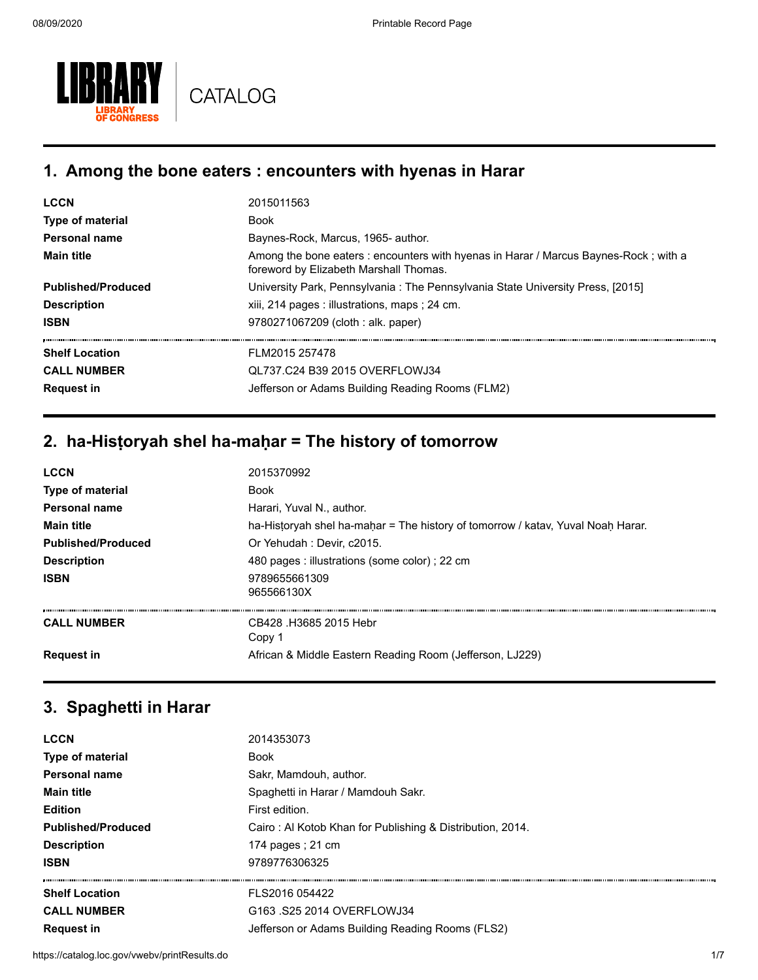

#### **1. Among the bone eaters : encounters with hyenas in Harar**

| <b>LCCN</b>               | 2015011563                                                                                                                     |
|---------------------------|--------------------------------------------------------------------------------------------------------------------------------|
| <b>Type of material</b>   | <b>Book</b>                                                                                                                    |
| Personal name             | Baynes-Rock, Marcus, 1965- author.                                                                                             |
| <b>Main title</b>         | Among the bone eaters : encounters with hyenas in Harar / Marcus Baynes-Rock; with a<br>foreword by Elizabeth Marshall Thomas. |
| <b>Published/Produced</b> | University Park, Pennsylvania: The Pennsylvania State University Press, [2015]                                                 |
| <b>Description</b>        | xiii, 214 pages : illustrations, maps ; 24 cm.                                                                                 |
| <b>ISBN</b>               | 9780271067209 (cloth : alk. paper)                                                                                             |
| <b>Shelf Location</b>     | FLM2015 257478                                                                                                                 |
| <b>CALL NUMBER</b>        | QL737.C24 B39 2015 OVERFLOWJ34                                                                                                 |
| <b>Request in</b>         | Jefferson or Adams Building Reading Rooms (FLM2)                                                                               |

### **2. ha-Hisṭoryah shel ha-maḥar = The history of tomorrow**

| <b>LCCN</b>               | 2015370992                                                                      |
|---------------------------|---------------------------------------------------------------------------------|
| <b>Type of material</b>   | Book                                                                            |
| <b>Personal name</b>      | Harari. Yuval N., author.                                                       |
| <b>Main title</b>         | ha-Historyah shel ha-mahar = The history of tomorrow / katav, Yuval Noah Harar. |
| <b>Published/Produced</b> | Or Yehudah : Devir, c2015.                                                      |
| <b>Description</b>        | 480 pages : illustrations (some color) ; 22 cm                                  |
| <b>ISBN</b>               | 9789655661309<br>965566130X                                                     |
| <b>CALL NUMBER</b>        | CB428 .H3685 2015 Hebr<br>Copy 1                                                |
| <b>Request in</b>         | African & Middle Eastern Reading Room (Jefferson, LJ229)                        |

### **3. Spaghetti in Harar**

| <b>LCCN</b>               | 2014353073                                                |
|---------------------------|-----------------------------------------------------------|
| Type of material          | <b>Book</b>                                               |
| <b>Personal name</b>      | Sakr, Mamdouh, author.                                    |
| <b>Main title</b>         | Spaghetti in Harar / Mamdouh Sakr.                        |
| <b>Edition</b>            | First edition.                                            |
| <b>Published/Produced</b> | Cairo: Al Kotob Khan for Publishing & Distribution, 2014. |
| <b>Description</b>        | 174 pages; $21 \text{ cm}$                                |
| <b>ISBN</b>               | 9789776306325                                             |
| <b>Shelf Location</b>     | FLS2016 054422                                            |
| <b>CALL NUMBER</b>        | G163 .S25 2014 OVERFLOWJ34                                |
| <b>Request in</b>         | Jefferson or Adams Building Reading Rooms (FLS2)          |
|                           |                                                           |

https://catalog.loc.gov/vwebv/printResults.do 1/7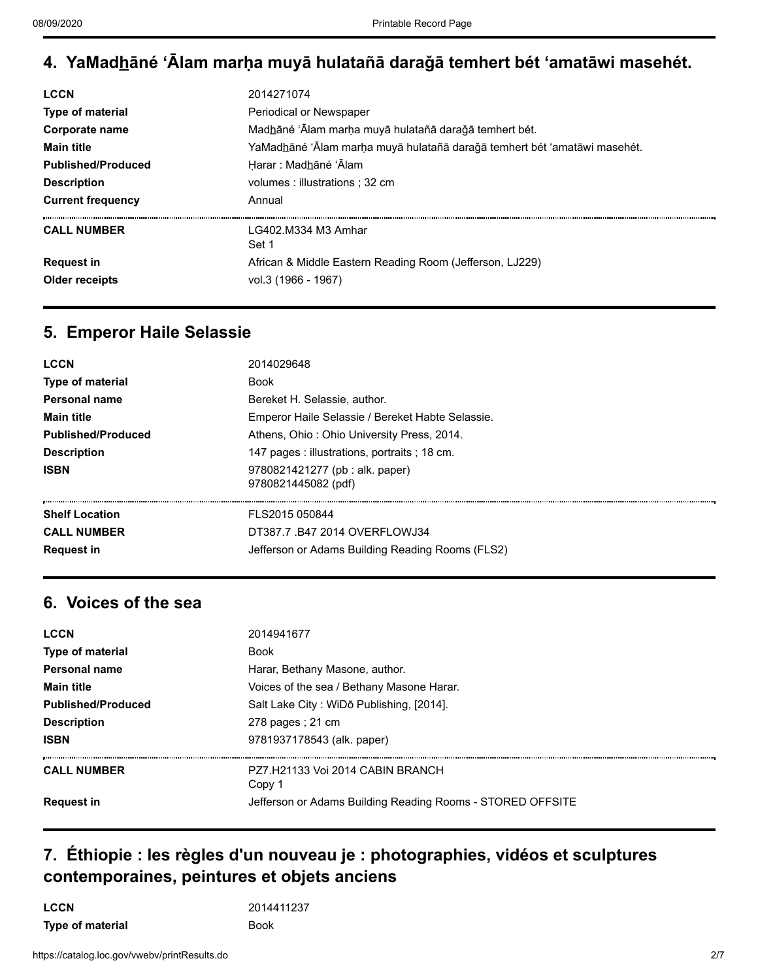# **4. YaMadh̲āné ʻĀlam marḥa muyā hulatañā daraǧā temhert bét ʻamatāwi masehét.**

| <b>LCCN</b>               | 2014271074                                                                        |
|---------------------------|-----------------------------------------------------------------------------------|
| <b>Type of material</b>   | Periodical or Newspaper                                                           |
| Corporate name            | Madhāné 'Ālam marha muyā hulatañā darağā temhert bét.                             |
| <b>Main title</b>         | YaMad <u>h</u> āné 'Ālam marḥa muyā hulatañā daraǧā temhert bét 'amatāwi masehét. |
| <b>Published/Produced</b> | Harar: Madhané 'Alam                                                              |
| <b>Description</b>        | volumes : illustrations : 32 cm                                                   |
| <b>Current frequency</b>  | Annual                                                                            |
| <b>CALL NUMBER</b>        | LG402.M334 M3 Amhar<br>Set 1                                                      |
| <b>Request in</b>         | African & Middle Eastern Reading Room (Jefferson, LJ229)                          |
| Older receipts            | vol.3 (1966 - 1967)                                                               |

# **5. Emperor Haile Selassie**

| <b>LCCN</b>               | 2014029648                                             |
|---------------------------|--------------------------------------------------------|
| <b>Type of material</b>   | <b>Book</b>                                            |
| <b>Personal name</b>      | Bereket H. Selassie, author.                           |
| <b>Main title</b>         | Emperor Haile Selassie / Bereket Habte Selassie.       |
| <b>Published/Produced</b> | Athens, Ohio: Ohio University Press, 2014.             |
| <b>Description</b>        | 147 pages : illustrations, portraits ; 18 cm.          |
| <b>ISBN</b>               | 9780821421277 (pb : alk. paper)<br>9780821445082 (pdf) |
| <b>Shelf Location</b>     | FLS2015 050844                                         |
| <b>CALL NUMBER</b>        | DT387.7 .B47 2014 OVERFLOWJ34                          |
| <b>Request in</b>         | Jefferson or Adams Building Reading Rooms (FLS2)       |

# **6. Voices of the sea**

| <b>LCCN</b>               | 2014941677                                                 |
|---------------------------|------------------------------------------------------------|
| Type of material          | <b>Book</b>                                                |
| Personal name             | Harar, Bethany Masone, author.                             |
| <b>Main title</b>         | Voices of the sea / Bethany Masone Harar.                  |
| <b>Published/Produced</b> | Salt Lake City: WiDō Publishing, [2014].                   |
| <b>Description</b>        | 278 pages : 21 cm                                          |
| <b>ISBN</b>               | 9781937178543 (alk. paper)                                 |
| <b>CALL NUMBER</b>        | P77 H21133 Voi 2014 CABIN BRANCH<br>Copy 1                 |
| <b>Request in</b>         | Jefferson or Adams Building Reading Rooms - STORED OFFSITE |

### **7. Éthiopie : les règles d'un nouveau je : photographies, vidéos et sculptures contemporaines, peintures et objets anciens**

**LCCN** 2014411237 **Type of material Book**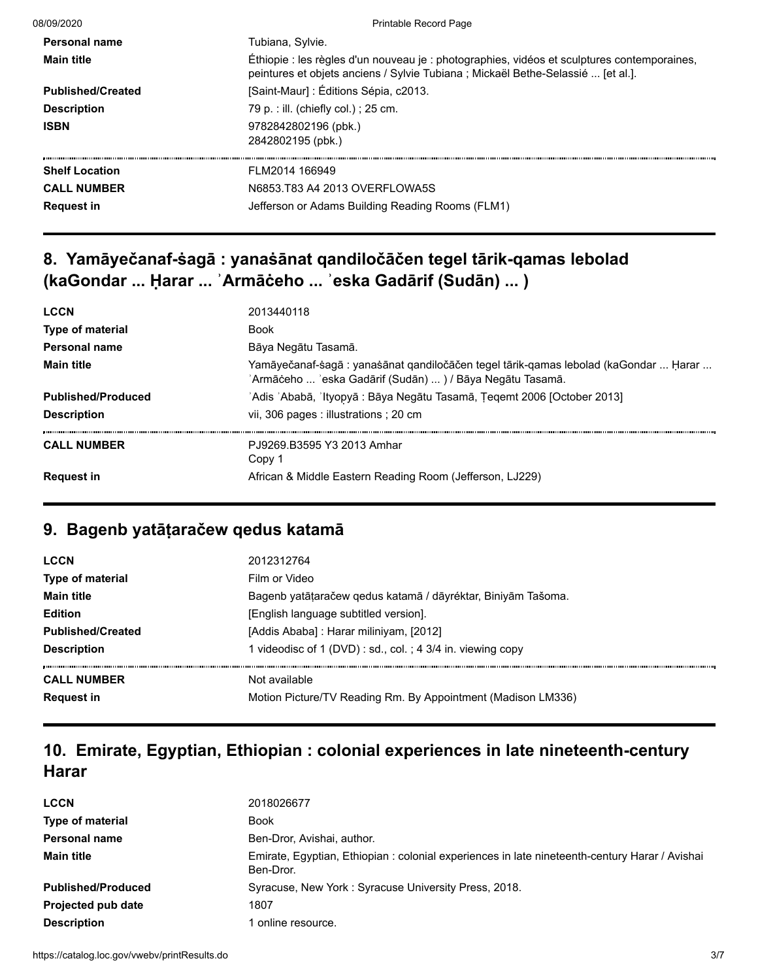| 08/09/2020               | <b>Printable Record Page</b>                                                                                                                                                    |
|--------------------------|---------------------------------------------------------------------------------------------------------------------------------------------------------------------------------|
| Personal name            | Tubiana, Sylvie.                                                                                                                                                                |
| <b>Main title</b>        | Éthiopie : les règles d'un nouveau je : photographies, vidéos et sculptures contemporaines,<br>peintures et objets anciens / Sylvie Tubiana ; Mickaël Bethe-Selassié  [et al.]. |
| <b>Published/Created</b> | [Saint-Maur] : Éditions Sépia, c2013.                                                                                                                                           |
| <b>Description</b>       | 79 p. : ill. (chiefly col.) ; 25 cm.                                                                                                                                            |
| <b>ISBN</b>              | 9782842802196 (pbk.)<br>2842802195 (pbk.)                                                                                                                                       |
| <b>Shelf Location</b>    | FLM2014 166949                                                                                                                                                                  |
| <b>CALL NUMBER</b>       | N6853.T83 A4 2013 OVERFLOWA5S                                                                                                                                                   |
| <b>Request in</b>        | Jefferson or Adams Building Reading Rooms (FLM1)                                                                                                                                |

# **8. Yamāyečanaf-ṡagā : yanaṡānat qandiločāčen tegel tārik-qamas lebolad (kaGondar ... Ḥarar ... ʾArmāċeho ... ʾeska Gadārif (Sudān) ... )**

| <b>LCCN</b>               | 2013440118                                                                                                                                        |
|---------------------------|---------------------------------------------------------------------------------------------------------------------------------------------------|
| Type of material          | <b>Book</b>                                                                                                                                       |
| Personal name             | Bāya Negātu Tasamā.                                                                                                                               |
| <b>Main title</b>         | Yamāyečanaf-sagā : yanasānat qandiločāčen tegel tārik-qamas lebolad (kaGondar  Ḥarar<br>'Armāċeho  'eska Gadārif (Sudān)  ) / Bāya Negātu Tasamā. |
| <b>Published/Produced</b> | 'Adis 'Ababā, 'Ityopyā : Bāya Negātu Tasamā, Țeqemt 2006 [October 2013]                                                                           |
| <b>Description</b>        | vii, 306 pages : illustrations ; 20 cm                                                                                                            |
| <b>CALL NUMBER</b>        | P.19269 B3595 Y3 2013 Amhar<br>Copy 1                                                                                                             |
| <b>Request in</b>         | African & Middle Eastern Reading Room (Jefferson, LJ229)                                                                                          |

# **9. Bagenb yatāṭaračew qedus katamā**

| <b>LCCN</b><br>Type of material | 2012312764<br>Film or Video                                  |
|---------------------------------|--------------------------------------------------------------|
| <b>Main title</b>               | Bagenb yatāṭaračew qedus katamā / dāyréktar, Biniyām Tašoma. |
| <b>Edition</b>                  | [English language subtitled version].                        |
| <b>Published/Created</b>        | [Addis Ababa] : Harar miliniyam, [2012]                      |
| <b>Description</b>              | 1 videodisc of 1 (DVD) : sd., col.; 4 3/4 in. viewing copy   |
| <b>CALL NUMBER</b>              | Not available                                                |
| <b>Request in</b>               | Motion Picture/TV Reading Rm. By Appointment (Madison LM336) |

# **10. Emirate, Egyptian, Ethiopian : colonial experiences in late nineteenth-century Harar**

| <b>LCCN</b>               | 2018026677                                                                                                  |
|---------------------------|-------------------------------------------------------------------------------------------------------------|
| <b>Type of material</b>   | Book                                                                                                        |
| <b>Personal name</b>      | Ben-Dror, Avishai, author.                                                                                  |
| <b>Main title</b>         | Emirate, Egyptian, Ethiopian : colonial experiences in late nineteenth-century Harar / Avishai<br>Ben-Dror. |
| <b>Published/Produced</b> | Syracuse, New York: Syracuse University Press, 2018.                                                        |
| <b>Projected pub date</b> | 1807                                                                                                        |
| <b>Description</b>        | online resource.                                                                                            |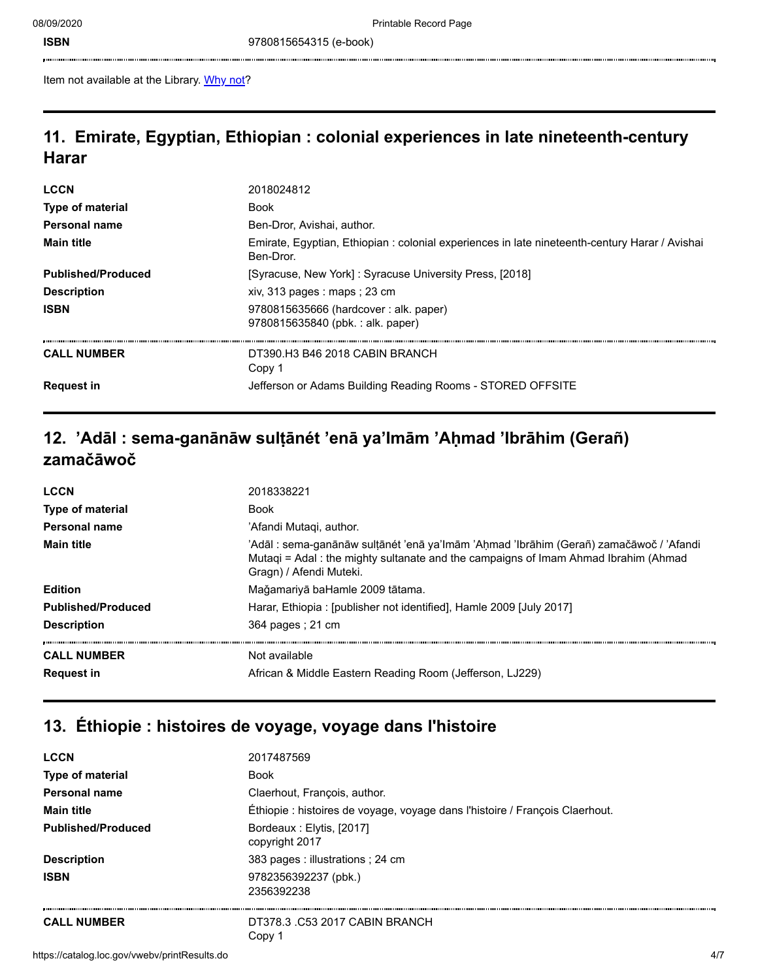**ISBN** 9780815654315 (e-book)

Item not available at the Library. [Why not?](https://catalog.loc.gov/vwebv/ui/en_US/htdocs/help/accountInfo.html#acs)

#### **11. Emirate, Egyptian, Ethiopian : colonial experiences in late nineteenth-century Harar**

| <b>LCCN</b>               | 2018024812                                                                                                  |
|---------------------------|-------------------------------------------------------------------------------------------------------------|
| <b>Type of material</b>   | <b>Book</b>                                                                                                 |
| Personal name             | Ben-Dror, Avishai, author,                                                                                  |
| <b>Main title</b>         | Emirate, Egyptian, Ethiopian : colonial experiences in late nineteenth-century Harar / Avishai<br>Ben-Dror. |
| <b>Published/Produced</b> | [Syracuse, New York]: Syracuse University Press, [2018]                                                     |
| <b>Description</b>        | xiv, 313 pages : maps ; 23 cm                                                                               |
| <b>ISBN</b>               | 9780815635666 (hardcover: alk. paper)<br>9780815635840 (pbk.: alk. paper)                                   |
| <b>CALL NUMBER</b>        | DT390 H3 B46 2018 CABIN BRANCH<br>Copy 1                                                                    |
| <b>Request in</b>         | Jefferson or Adams Building Reading Rooms - STORED OFFSITE                                                  |

# **12. 'Adāl : sema-ganānāw sulṭānét 'enā ya'Imām 'Aḥmad 'Ibrāhim (Gerañ) zamačāwoč**

| <b>LCCN</b>                             | 2018338221                                                                                                                                                                                              |
|-----------------------------------------|---------------------------------------------------------------------------------------------------------------------------------------------------------------------------------------------------------|
| <b>Type of material</b>                 | <b>Book</b>                                                                                                                                                                                             |
| <b>Personal name</b>                    | 'Afandi Mutagi, author.                                                                                                                                                                                 |
| <b>Main title</b>                       | 'Adāl : sema-ganānāw sulțānét 'enā ya'lmām 'Aḥmad 'Ibrāhim (Gerañ) zamačāwoč / 'Afandi<br>Mutagi = Adal: the mighty sultanate and the campaigns of Imam Ahmad Ibrahim (Ahmad<br>Gragn) / Afendi Muteki. |
| <b>Edition</b>                          | Mağamariyā baHamle 2009 tātama.                                                                                                                                                                         |
| <b>Published/Produced</b>               | Harar, Ethiopia: [publisher not identified], Hamle 2009 [July 2017]                                                                                                                                     |
| <b>Description</b>                      | 364 pages : 21 cm                                                                                                                                                                                       |
| <b>CALL NUMBER</b><br><b>Request in</b> | Not available<br>African & Middle Eastern Reading Room (Jefferson, LJ229)                                                                                                                               |
|                                         |                                                                                                                                                                                                         |

# **13. Éthiopie : histoires de voyage, voyage dans l'histoire**

| <b>LCCN</b>               | 2017487569                                                                   |
|---------------------------|------------------------------------------------------------------------------|
| Type of material          | <b>Book</b>                                                                  |
| <b>Personal name</b>      | Claerhout, François, author.                                                 |
| <b>Main title</b>         | Éthiopie : histoires de voyage, voyage dans l'histoire / François Claerhout. |
| <b>Published/Produced</b> | Bordeaux: Elytis, [2017]<br>copyright 2017                                   |
| <b>Description</b>        | 383 pages : illustrations ; 24 cm                                            |
| <b>ISBN</b>               | 9782356392237 (pbk.)<br>2356392238                                           |
| <b>CALL NUMBER</b>        | DT378.3. C53 2017 CABIN BRANCH<br>Copy 1                                     |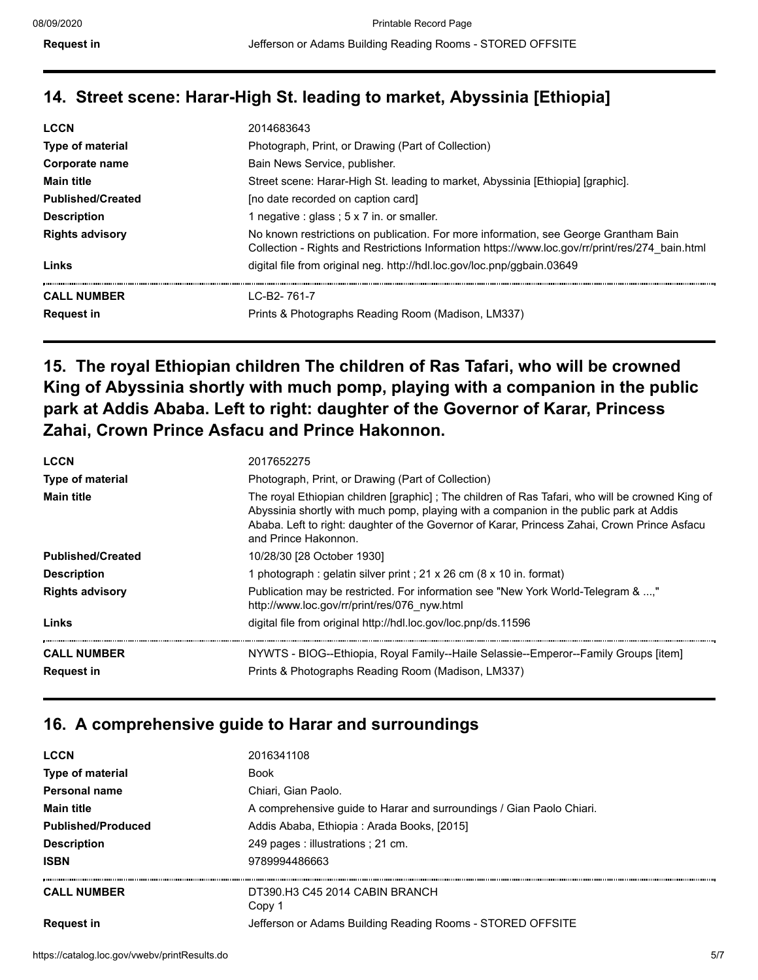# **14. Street scene: Harar-High St. leading to market, Abyssinia [Ethiopia]**

| <b>LCCN</b>              | 2014683643                                                                                                                                                                              |
|--------------------------|-----------------------------------------------------------------------------------------------------------------------------------------------------------------------------------------|
| <b>Type of material</b>  | Photograph, Print, or Drawing (Part of Collection)                                                                                                                                      |
| Corporate name           | Bain News Service, publisher.                                                                                                                                                           |
| <b>Main title</b>        | Street scene: Harar-High St. leading to market, Abyssinia [Ethiopia] [graphic].                                                                                                         |
| <b>Published/Created</b> | [no date recorded on caption card]                                                                                                                                                      |
| <b>Description</b>       | 1 negative : glass ; $5 \times 7$ in. or smaller.                                                                                                                                       |
| <b>Rights advisory</b>   | No known restrictions on publication. For more information, see George Grantham Bain<br>Collection - Rights and Restrictions Information https://www.loc.gov/rr/print/res/274 bain.html |
| Links                    | digital file from original neg. http://hdl.loc.gov/loc.pnp/ggbain.03649                                                                                                                 |
| <b>CALL NUMBER</b>       | $IC-B2-761-7$                                                                                                                                                                           |
| <b>Request in</b>        | Prints & Photographs Reading Room (Madison, LM337)                                                                                                                                      |

# **15. The royal Ethiopian children The children of Ras Tafari, who will be crowned King of Abyssinia shortly with much pomp, playing with a companion in the public park at Addis Ababa. Left to right: daughter of the Governor of Karar, Princess Zahai, Crown Prince Asfacu and Prince Hakonnon.**

| <b>LCCN</b>              | 2017652275                                                                                                                                                                                                                                                                                                         |
|--------------------------|--------------------------------------------------------------------------------------------------------------------------------------------------------------------------------------------------------------------------------------------------------------------------------------------------------------------|
| <b>Type of material</b>  | Photograph, Print, or Drawing (Part of Collection)                                                                                                                                                                                                                                                                 |
| <b>Main title</b>        | The royal Ethiopian children [graphic] ; The children of Ras Tafari, who will be crowned King of<br>Abyssinia shortly with much pomp, playing with a companion in the public park at Addis<br>Ababa. Left to right: daughter of the Governor of Karar, Princess Zahai, Crown Prince Asfacu<br>and Prince Hakonnon. |
| <b>Published/Created</b> | 10/28/30 [28 October 1930]                                                                                                                                                                                                                                                                                         |
| <b>Description</b>       | 1 photograph : gelatin silver print ; 21 x 26 cm (8 x 10 in. format)                                                                                                                                                                                                                                               |
| <b>Rights advisory</b>   | Publication may be restricted. For information see "New York World-Telegram & ,"<br>http://www.loc.gov/rr/print/res/076 nyw.html                                                                                                                                                                                   |
| Links                    | digital file from original http://hdl.loc.gov/loc.pnp/ds.11596                                                                                                                                                                                                                                                     |
| <b>CALL NUMBER</b>       | NYWTS - BIOG--Ethiopia, Royal Family--Haile Selassie--Emperor--Family Groups [item]                                                                                                                                                                                                                                |
| <b>Request in</b>        | Prints & Photographs Reading Room (Madison, LM337)                                                                                                                                                                                                                                                                 |

# **16. A comprehensive guide to Harar and surroundings**

| <b>LCCN</b>               | 2016341108                                                           |
|---------------------------|----------------------------------------------------------------------|
| <b>Type of material</b>   | <b>Book</b>                                                          |
| Personal name             | Chiari. Gian Paolo.                                                  |
| <b>Main title</b>         | A comprehensive guide to Harar and surroundings / Gian Paolo Chiari. |
| <b>Published/Produced</b> | Addis Ababa, Ethiopia: Arada Books, [2015]                           |
| <b>Description</b>        | 249 pages : illustrations ; 21 cm.                                   |
| <b>ISBN</b>               | 9789994486663                                                        |
| <b>CALL NUMBER</b>        | DT390 H3 C45 2014 CABIN BRANCH<br>Copy 1                             |
| <b>Request in</b>         | Jefferson or Adams Building Reading Rooms - STORED OFFSITE           |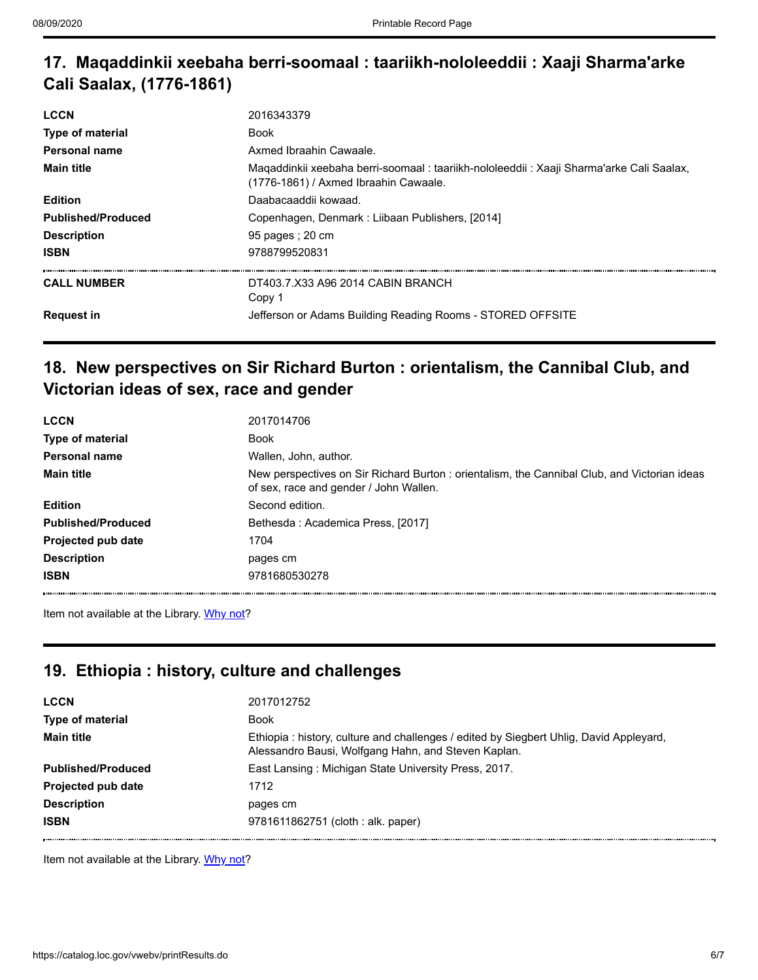# **17. Maqaddinkii xeebaha berri-soomaal : taariikh-nololeeddii : Xaaji Sharma'arke Cali Saalax, (1776-1861)**

| 2016343379                                                                                                                         |
|------------------------------------------------------------------------------------------------------------------------------------|
| Book                                                                                                                               |
| Axmed Ibraahin Cawaale.                                                                                                            |
| Magaddinkii xeebaha berri-soomaal : taariikh-nololeeddii : Xaaji Sharma'arke Cali Saalax,<br>(1776-1861) / Axmed Ibraahin Cawaale. |
| Daabacaaddii kowaad.                                                                                                               |
| Copenhagen, Denmark: Liibaan Publishers, [2014]                                                                                    |
| 95 pages : 20 cm                                                                                                                   |
| 9788799520831                                                                                                                      |
| DT403.7.X33 A96 2014 CABIN BRANCH<br>Copy 1                                                                                        |
| Jefferson or Adams Building Reading Rooms - STORED OFFSITE                                                                         |
|                                                                                                                                    |

#### **18. New perspectives on Sir Richard Burton : orientalism, the Cannibal Club, and Victorian ideas of sex, race and gender**

| <b>LCCN</b>               | 2017014706                                                                                                                             |
|---------------------------|----------------------------------------------------------------------------------------------------------------------------------------|
| Type of material          | <b>Book</b>                                                                                                                            |
| Personal name             | Wallen, John, author.                                                                                                                  |
| <b>Main title</b>         | New perspectives on Sir Richard Burton : orientalism, the Cannibal Club, and Victorian ideas<br>of sex, race and gender / John Wallen. |
| <b>Edition</b>            | Second edition.                                                                                                                        |
| <b>Published/Produced</b> | Bethesda: Academica Press, [2017]                                                                                                      |
| Projected pub date        | 1704                                                                                                                                   |
| <b>Description</b>        | pages cm                                                                                                                               |
| <b>ISBN</b>               | 9781680530278                                                                                                                          |

Item not available at the Library. [Why not?](https://catalog.loc.gov/vwebv/ui/en_US/htdocs/help/accountInfo.html#acs)

#### **19. Ethiopia : history, culture and challenges**

| <b>LCCN</b>               | 2017012752                                                                                                                                    |
|---------------------------|-----------------------------------------------------------------------------------------------------------------------------------------------|
| <b>Type of material</b>   | <b>Book</b>                                                                                                                                   |
| <b>Main title</b>         | Ethiopia: history, culture and challenges / edited by Siegbert Uhlig, David Appleyard,<br>Alessandro Bausi, Wolfgang Hahn, and Steven Kaplan. |
| <b>Published/Produced</b> | East Lansing: Michigan State University Press, 2017.                                                                                          |
| <b>Projected pub date</b> | 1712                                                                                                                                          |
| <b>Description</b>        | pages cm                                                                                                                                      |
| <b>ISBN</b>               | 9781611862751 (cloth : alk. paper)                                                                                                            |

Item not available at the Library. [Why not?](https://catalog.loc.gov/vwebv/ui/en_US/htdocs/help/accountInfo.html#acs)